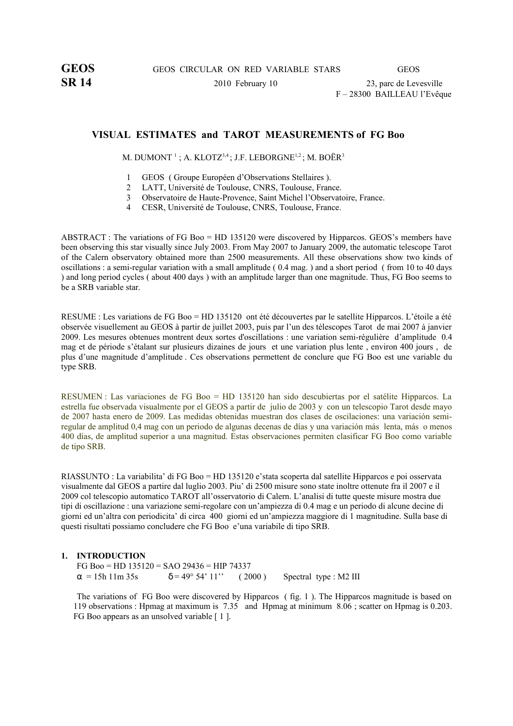SR 14 2010 February 10 23, parc de Levesville F – 28300 BAILLEAU l'Evêque

# **VISUAL ESTIMATES and TAROT MEASUREMENTS of FG Boo**

M. DUMONT  $^{1}$  ; A. KLOTZ $^{3,4}$  ; J.F. LEBORGNE $^{1,2}$  ; M. BOËR $^{3}$ 

- 1 GEOS ( Groupe Européen d'Observations Stellaires ).
- 2 LATT, Université de Toulouse, CNRS, Toulouse, France.
- 3 Observatoire de Haute-Provence, Saint Michel l'Observatoire, France.
- 4 CESR, Université de Toulouse, CNRS, Toulouse, France.

ABSTRACT : The variations of FG Boo = HD 135120 were discovered by Hipparcos. GEOS's members have been observing this star visually since July 2003. From May 2007 to January 2009, the automatic telescope Tarot of the Calern observatory obtained more than 2500 measurements. All these observations show two kinds of oscillations : a semi-regular variation with a small amplitude ( 0.4 mag. ) and a short period ( from 10 to 40 days ) and long period cycles ( about 400 days ) with an amplitude larger than one magnitude. Thus, FG Boo seems to be a SRB variable star.

RESUME : Les variations de FG Boo = HD 135120 ont été découvertes par le satellite Hipparcos. L'étoile a été observée visuellement au GEOS à partir de juillet 2003, puis par l'un des télescopes Tarot de mai 2007 à janvier 2009. Les mesures obtenues montrent deux sortes d'oscillations : une variation semi-régulière d'amplitude 0.4 mag et de période s'étalant sur plusieurs dizaines de jours et une variation plus lente , environ 400 jours , de plus d'une magnitude d'amplitude . Ces observations permettent de conclure que FG Boo est une variable du type SRB.

RESUMEN : Las variaciones de FG Boo = HD 135120 han sido descubiertas por el satélite Hipparcos. La estrella fue observada visualmente por el GEOS a partir de julio de 2003 y con un telescopio Tarot desde mayo de 2007 hasta enero de 2009. Las medidas obtenidas muestran dos clases de oscilaciones: una variación semiregular de amplitud 0,4 mag con un periodo de algunas decenas de días y una variación más lenta, más o menos 400 días, de amplitud superior a una magnitud. Estas observaciones permiten clasificar FG Boo como variable de tipo SRB.

RIASSUNTO : La variabilita' di FG Boo = HD 135120 e'stata scoperta dal satellite Hipparcos e poi osservata visualmente dal GEOS a partire dal luglio 2003. Piu' di 2500 misure sono state inoltre ottenute fra il 2007 e il 2009 col telescopio automatico TAROT all'osservatorio di Calern. L'analisi di tutte queste misure mostra due tipi di oscillazione : una variazione semi-regolare con un'ampiezza di 0.4 mag e un periodo di alcune decine di giorni ed un'altra con periodicita' di circa 400 giorni ed un'ampiezza maggiore di 1 magnitudine. Sulla base di questi risultati possiamo concludere che FG Boo e'una variabile di tipo SRB.

### **1. INTRODUCTION**

FG Boo = HD  $135120 =$  SAO 29436 = HIP 74337  $\alpha = 15h$  11m 35s  $\delta = 49^{\circ} 54' 11'$  ( 2000 ) Spectral type : M2 III

The variations of FG Boo were discovered by Hipparcos ( fig. 1 ). The Hipparcos magnitude is based on 119 observations : Hpmag at maximum is 7.35 and Hpmag at minimum 8.06 ; scatter on Hpmag is 0.203. FG Boo appears as an unsolved variable [1].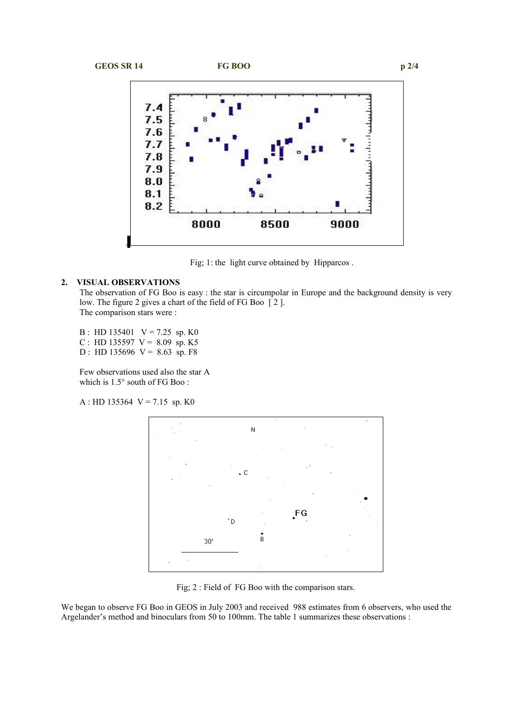





Fig; 1: the light curve obtained by Hipparcos .

## **2. VISUAL OBSERVATIONS**

The observation of FG Boo is easy : the star is circumpolar in Europe and the background density is very low. The figure 2 gives a chart of the field of FG Boo [ 2 ]. The comparison stars were :

B : HD 135401  $V = 7.25$  sp. K0 C : HD 135597  $V = 8.09$  sp. K5

D : HD 135696  $V = 8.63$  sp. F8

Few observations used also the star A which is 1.5° south of FG Boo :

 $A : HD$  135364  $V = 7.15$  sp. K0



Fig; 2 : Field of FG Boo with the comparison stars.

We began to observe FG Boo in GEOS in July 2003 and received 988 estimates from 6 observers, who used the Argelander's method and binoculars from 50 to 100mm. The table 1 summarizes these observations :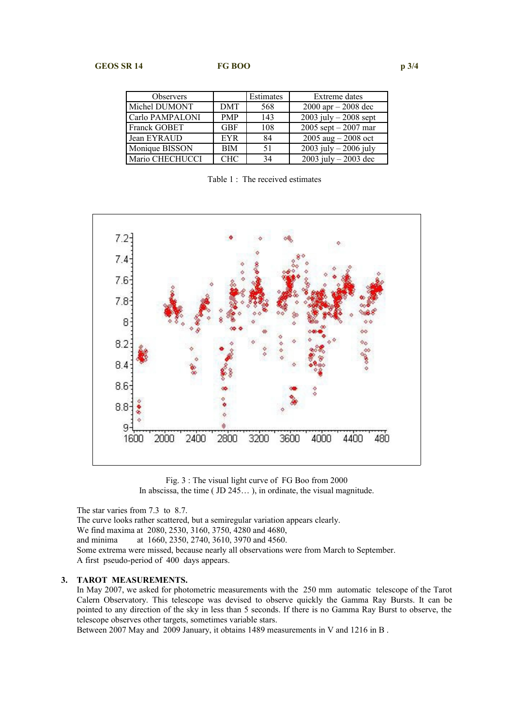| <b>Observers</b> |            | Estimates | Extreme dates           |
|------------------|------------|-----------|-------------------------|
| Michel DUMONT    | <b>DMT</b> | 568       | $2000$ apr $- 2008$ dec |
| Carlo PAMPALONI  | <b>PMP</b> | 143       | 2003 july $-2008$ sept  |
| Franck GOBET     | <b>GBF</b> | 108       | 2005 sept $-2007$ mar   |
| Jean EYRAUD      | <b>EYR</b> | 84        | 2005 aug $-2008$ oct    |
| Monique BISSON   | <b>BIM</b> | 51        | 2003 july $-2006$ july  |
| Mario CHECHUCCI  | <b>CHC</b> | 34        | 2003 july $-2003$ dec   |

Table 1: The received estimates



Fig. 3 : The visual light curve of FG Boo from 2000 In abscissa, the time ( JD 245… ), in ordinate, the visual magnitude.

The star varies from 7.3 to 8.7. The curve looks rather scattered, but a semiregular variation appears clearly. We find maxima at 2080, 2530, 3160, 3750, 4280 and 4680, and minima at 1660, 2350, 2740, 3610, 3970 and 4560. Some extrema were missed, because nearly all observations were from March to September. A first pseudo-period of 400 days appears.

### **3. TAROT MEASUREMENTS.**

In May 2007, we asked for photometric measurements with the 250 mm automatic telescope of the Tarot Calern Observatory. This telescope was devised to observe quickly the Gamma Ray Bursts. It can be pointed to any direction of the sky in less than 5 seconds. If there is no Gamma Ray Burst to observe, the telescope observes other targets, sometimes variable stars.

Between 2007 May and 2009 January, it obtains 1489 measurements in V and 1216 in B .